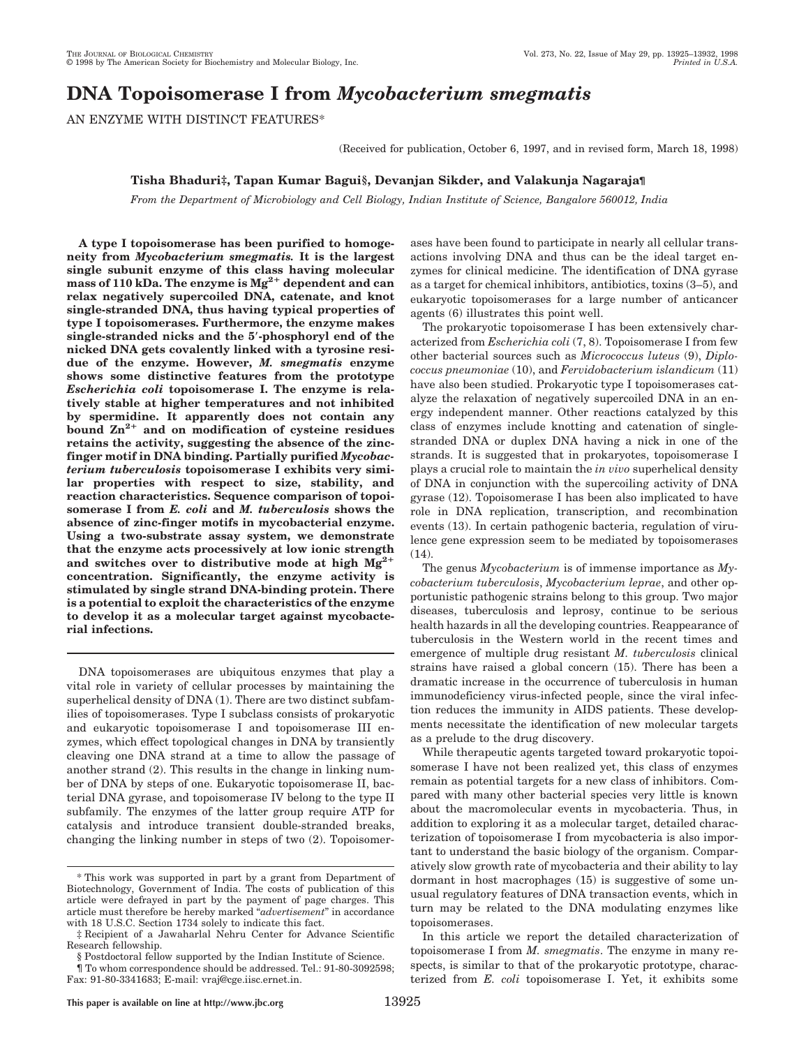# **DNA Topoisomerase I from** *Mycobacterium smegmatis*

AN ENZYME WITH DISTINCT FEATURES\*

(Received for publication, October 6, 1997, and in revised form, March 18, 1998)

# **Tisha Bhaduri‡, Tapan Kumar Bagui§, Devanjan Sikder, and Valakunja Nagaraja¶**

*From the Department of Microbiology and Cell Biology, Indian Institute of Science, Bangalore 560012, India*

**A type I topoisomerase has been purified to homogeneity from** *Mycobacterium smegmatis.* **It is the largest single subunit enzyme of this class having molecular mass of 110 kDa. The enzyme is Mg2**<sup>1</sup> **dependent and can relax negatively supercoiled DNA, catenate, and knot single-stranded DNA, thus having typical properties of type I topoisomerases. Furthermore, the enzyme makes single-stranded nicks and the 5**\***-phosphoryl end of the nicked DNA gets covalently linked with a tyrosine residue of the enzyme. However,** *M. smegmatis* **enzyme shows some distinctive features from the prototype** *Escherichia coli* **topoisomerase I. The enzyme is relatively stable at higher temperatures and not inhibited by spermidine. It apparently does not contain any bound Zn2**<sup>1</sup> **and on modification of cysteine residues retains the activity, suggesting the absence of the zincfinger motif in DNA binding. Partially purified** *Mycobacterium tuberculosis* **topoisomerase I exhibits very similar properties with respect to size, stability, and reaction characteristics. Sequence comparison of topoisomerase I from** *E. coli* **and** *M. tuberculosis* **shows the absence of zinc-finger motifs in mycobacterial enzyme. Using a two-substrate assay system, we demonstrate that the enzyme acts processively at low ionic strength** and switches over to distributive mode at high  $Mg^{2+}$ **concentration. Significantly, the enzyme activity is stimulated by single strand DNA-binding protein. There is a potential to exploit the characteristics of the enzyme to develop it as a molecular target against mycobacterial infections.**

DNA topoisomerases are ubiquitous enzymes that play a vital role in variety of cellular processes by maintaining the superhelical density of DNA (1). There are two distinct subfamilies of topoisomerases. Type I subclass consists of prokaryotic and eukaryotic topoisomerase I and topoisomerase III enzymes, which effect topological changes in DNA by transiently cleaving one DNA strand at a time to allow the passage of another strand (2). This results in the change in linking number of DNA by steps of one. Eukaryotic topoisomerase II, bacterial DNA gyrase, and topoisomerase IV belong to the type II subfamily. The enzymes of the latter group require ATP for catalysis and introduce transient double-stranded breaks, changing the linking number in steps of two (2). Topoisomerases have been found to participate in nearly all cellular transactions involving DNA and thus can be the ideal target enzymes for clinical medicine. The identification of DNA gyrase as a target for chemical inhibitors, antibiotics, toxins (3–5), and eukaryotic topoisomerases for a large number of anticancer agents (6) illustrates this point well.

The prokaryotic topoisomerase I has been extensively characterized from *Escherichia coli* (7, 8). Topoisomerase I from few other bacterial sources such as *Micrococcus luteus* (9), *Diplococcus pneumoniae* (10), and *Fervidobacterium islandicum* (11) have also been studied. Prokaryotic type I topoisomerases catalyze the relaxation of negatively supercoiled DNA in an energy independent manner. Other reactions catalyzed by this class of enzymes include knotting and catenation of singlestranded DNA or duplex DNA having a nick in one of the strands. It is suggested that in prokaryotes, topoisomerase I plays a crucial role to maintain the *in vivo* superhelical density of DNA in conjunction with the supercoiling activity of DNA gyrase (12). Topoisomerase I has been also implicated to have role in DNA replication, transcription, and recombination events (13). In certain pathogenic bacteria, regulation of virulence gene expression seem to be mediated by topoisomerases  $(14)$ .

The genus *Mycobacterium* is of immense importance as *Mycobacterium tuberculosis*, *Mycobacterium leprae*, and other opportunistic pathogenic strains belong to this group. Two major diseases, tuberculosis and leprosy, continue to be serious health hazards in all the developing countries. Reappearance of tuberculosis in the Western world in the recent times and emergence of multiple drug resistant *M. tuberculosis* clinical strains have raised a global concern (15). There has been a dramatic increase in the occurrence of tuberculosis in human immunodeficiency virus-infected people, since the viral infection reduces the immunity in AIDS patients. These developments necessitate the identification of new molecular targets as a prelude to the drug discovery.

While therapeutic agents targeted toward prokaryotic topoisomerase I have not been realized yet, this class of enzymes remain as potential targets for a new class of inhibitors. Compared with many other bacterial species very little is known about the macromolecular events in mycobacteria. Thus, in addition to exploring it as a molecular target, detailed characterization of topoisomerase I from mycobacteria is also important to understand the basic biology of the organism. Comparatively slow growth rate of mycobacteria and their ability to lay dormant in host macrophages (15) is suggestive of some unusual regulatory features of DNA transaction events, which in turn may be related to the DNA modulating enzymes like topoisomerases.

In this article we report the detailed characterization of topoisomerase I from *M. smegmatis*. The enzyme in many respects, is similar to that of the prokaryotic prototype, characterized from *E. coli* topoisomerase I. Yet, it exhibits some

<sup>\*</sup> This work was supported in part by a grant from Department of Biotechnology, Government of India. The costs of publication of this article were defrayed in part by the payment of page charges. This article must therefore be hereby marked "*advertisement*" in accordance with 18 U.S.C. Section 1734 solely to indicate this fact.

<sup>‡</sup> Recipient of a Jawaharlal Nehru Center for Advance Scientific Research fellowship.

<sup>§</sup> Postdoctoral fellow supported by the Indian Institute of Science.

<sup>¶</sup> To whom correspondence should be addressed. Tel.: 91-80-3092598; Fax: 91-80-3341683; E-mail: vraj@cge.iisc.ernet.in.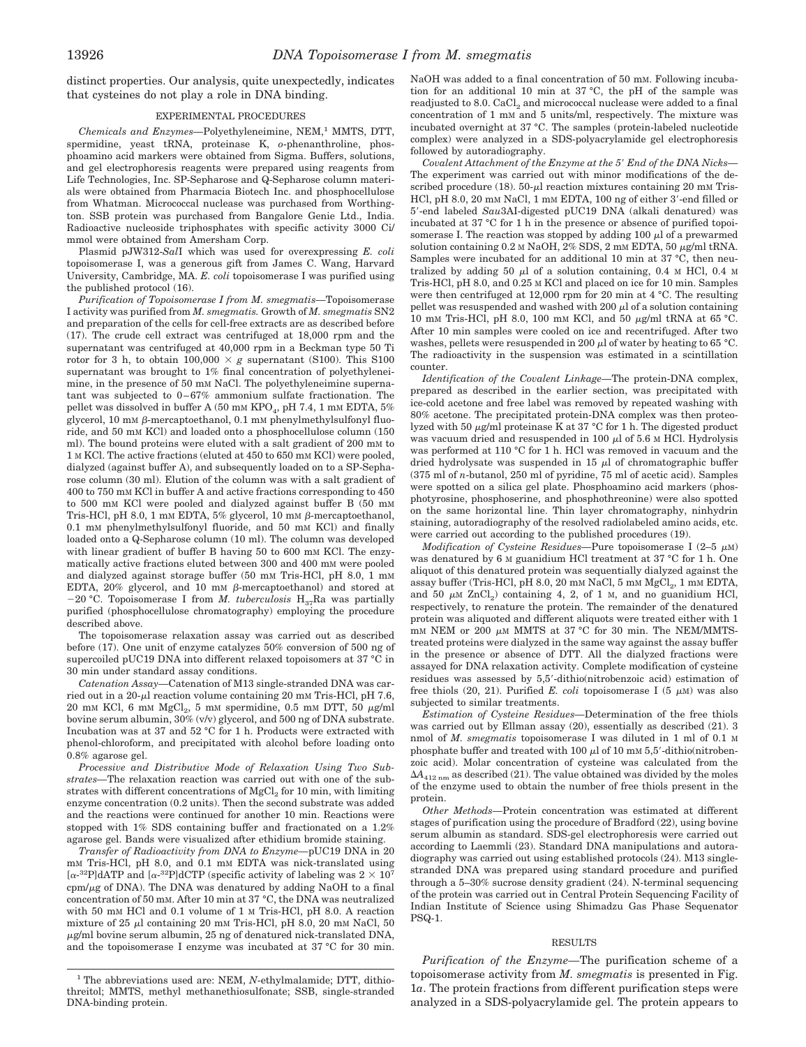distinct properties. Our analysis, quite unexpectedly, indicates that cysteines do not play a role in DNA binding.

## EXPERIMENTAL PROCEDURES

*Chemicals and Enzymes*—Polyethyleneimine, NEM,<sup>1</sup> MMTS, DTT, spermidine, yeast tRNA, proteinase K, *o*-phenanthroline, phosphoamino acid markers were obtained from Sigma. Buffers, solutions, and gel electrophoresis reagents were prepared using reagents from Life Technologies, Inc. SP-Sepharose and Q-Sepharose column materials were obtained from Pharmacia Biotech Inc. and phosphocellulose from Whatman. Micrococcal nuclease was purchased from Worthington. SSB protein was purchased from Bangalore Genie Ltd., India. Radioactive nucleoside triphosphates with specific activity 3000 Ci/ mmol were obtained from Amersham Corp.

Plasmid pJW312-*Sal*I which was used for overexpressing *E. coli* topoisomerase I, was a generous gift from James C. Wang, Harvard University, Cambridge, MA. *E. coli* topoisomerase I was purified using the published protocol (16).

*Purification of Topoisomerase I from M. smegmatis—*Topoisomerase I activity was purified from *M. smegmatis.* Growth of *M. smegmatis* SN2 and preparation of the cells for cell-free extracts are as described before (17). The crude cell extract was centrifuged at 18,000 rpm and the supernatant was centrifuged at 40,000 rpm in a Beckman type 50 Ti rotor for 3 h, to obtain  $100,000 \times g$  supernatant (S100). This S100 supernatant was brought to 1% final concentration of polyethyleneimine, in the presence of 50 mM NaCl. The polyethyleneimine supernatant was subjected to 0–67% ammonium sulfate fractionation. The pellet was dissolved in buffer A (50 mm  $KPO<sub>4</sub>$ , pH 7.4, 1 mm EDTA, 5%) glycerol, 10 mm  $\beta$ -mercaptoethanol, 0.1 mm phenylmethylsulfonyl fluoride, and 50 mM KCl) and loaded onto a phosphocellulose column (150 ml). The bound proteins were eluted with a salt gradient of 200 mM to 1 M KCl. The active fractions (eluted at 450 to 650 mM KCl) were pooled, dialyzed (against buffer A), and subsequently loaded on to a SP-Sepharose column (30 ml). Elution of the column was with a salt gradient of 400 to 750 mM KCl in buffer A and active fractions corresponding to 450 to 500 mM KCl were pooled and dialyzed against buffer B (50 mM Tris-HCl, pH 8.0, 1 mM EDTA, 5% glycerol, 10 mM  $\beta$ -mercaptoethanol, 0.1 mM phenylmethylsulfonyl fluoride, and 50 mM KCl) and finally loaded onto a Q-Sepharose column (10 ml). The column was developed with linear gradient of buffer B having 50 to 600 mM KCl. The enzymatically active fractions eluted between 300 and 400 mM were pooled and dialyzed against storage buffer (50 mM Tris-HCl, pH 8.0, 1 mM EDTA,  $20\%$  glycerol, and 10 mM  $\beta$ -mercaptoethanol) and stored at  $-20$  °C. Topoisomerase I from *M. tuberculosis* H<sub>37</sub>Ra was partially purified (phosphocellulose chromatography) employing the procedure described above.

The topoisomerase relaxation assay was carried out as described before (17). One unit of enzyme catalyzes 50% conversion of 500 ng of supercoiled pUC19 DNA into different relaxed topoisomers at 37 °C in 30 min under standard assay conditions.

*Catenation Assay—*Catenation of M13 single-stranded DNA was carried out in a 20-µl reaction volume containing 20 mM Tris-HCl, pH 7.6,  $20$  mM KCl, 6 mM  $MgCl<sub>2</sub>$ , 5 mM spermidine, 0.5 mM DTT, 50  $\mu$ g/ml bovine serum albumin, 30% (v/v) glycerol, and 500 ng of DNA substrate. Incubation was at 37 and 52 °C for 1 h. Products were extracted with phenol-chloroform, and precipitated with alcohol before loading onto 0.8% agarose gel.

*Processive and Distributive Mode of Relaxation Using Two Substrates—*The relaxation reaction was carried out with one of the substrates with different concentrations of  $MgCl<sub>2</sub>$  for 10 min, with limiting enzyme concentration (0.2 units). Then the second substrate was added and the reactions were continued for another 10 min. Reactions were stopped with 1% SDS containing buffer and fractionated on a 1.2% agarose gel. Bands were visualized after ethidium bromide staining.

*Transfer of Radioactivity from DNA to Enzyme—*pUC19 DNA in 20 mM Tris-HCl, pH 8.0, and 0.1 mM EDTA was nick-translated using [ $\alpha$ -<sup>32</sup>P]dATP and [ $\alpha$ -<sup>32</sup>P]dCTP (specific activity of labeling was 2  $\times$  10<sup>7</sup>  $cpm/\mu g$  of DNA). The DNA was denatured by adding NaOH to a final concentration of 50 mM. After 10 min at 37 °C, the DNA was neutralized with 50 mM HCl and 0.1 volume of 1 M Tris-HCl, pH 8.0. A reaction mixture of 25  $\mu$ l containing 20 mm Tris-HCl, pH 8.0, 20 mm NaCl, 50  $\mu$ g/ml bovine serum albumin, 25 ng of denatured nick-translated DNA, and the topoisomerase I enzyme was incubated at 37 °C for 30 min.

<sup>1</sup> The abbreviations used are: NEM, *N*-ethylmalamide; DTT, dithiothreitol; MMTS, methyl methanethiosulfonate; SSB, single-stranded DNA-binding protein.

NaOH was added to a final concentration of 50 mM. Following incubation for an additional 10 min at 37 °C, the pH of the sample was readjusted to 8.0.  $CaCl<sub>2</sub>$  and micrococcal nuclease were added to a final concentration of 1 mM and 5 units/ml, respectively. The mixture was incubated overnight at 37 °C. The samples (protein-labeled nucleotide complex) were analyzed in a SDS-polyacrylamide gel electrophoresis followed by autoradiography.

*Covalent Attachment of the Enzyme at the 5*9 *End of the DNA Nicks—* The experiment was carried out with minor modifications of the described procedure  $(18)$ . 50- $\mu$ l reaction mixtures containing 20 mM Tris-HCl, pH 8.0, 20 mM NaCl, 1 mM EDTA, 100 ng of either 3'-end filled or 5'-end labeled *Sau*3AI-digested pUC19 DNA (alkali denatured) was incubated at 37 °C for 1 h in the presence or absence of purified topoisomerase I. The reaction was stopped by adding  $100 \mu l$  of a prewarmed solution containing 0.2 M NaOH, 2% SDS, 2 mM EDTA, 50  $\mu$ g/ml tRNA. Samples were incubated for an additional 10 min at 37 °C, then neutralized by adding 50  $\mu$ l of a solution containing, 0.4 M HCl, 0.4 M Tris-HCl, pH 8.0, and 0.25 M KCl and placed on ice for 10 min. Samples were then centrifuged at 12,000 rpm for 20 min at 4 °C. The resulting pellet was resuspended and washed with 200  $\mu$ l of a solution containing 10 mm Tris-HCl, pH 8.0, 100 mm KCl, and 50  $\mu$ g/ml tRNA at 65 °C. After 10 min samples were cooled on ice and recentrifuged. After two washes, pellets were resuspended in 200  $\mu$ l of water by heating to 65 °C. The radioactivity in the suspension was estimated in a scintillation counter.

*Identification of the Covalent Linkage—*The protein-DNA complex, prepared as described in the earlier section, was precipitated with ice-cold acetone and free label was removed by repeated washing with 80% acetone. The precipitated protein-DNA complex was then proteolyzed with 50  $\mu$ g/ml proteinase K at 37 °C for 1 h. The digested product was vacuum dried and resuspended in 100  $\mu$ l of 5.6 M HCl. Hydrolysis was performed at 110 °C for 1 h. HCl was removed in vacuum and the dried hydrolysate was suspended in 15  $\mu$ l of chromatographic buffer (375 ml of *n*-butanol, 250 ml of pyridine, 75 ml of acetic acid). Samples were spotted on a silica gel plate. Phosphoamino acid markers (phosphotyrosine, phosphoserine, and phosphothreonine) were also spotted on the same horizontal line. Thin layer chromatography, ninhydrin staining, autoradiography of the resolved radiolabeled amino acids, etc. were carried out according to the published procedures (19).

*Modification of Cysteine Residues*—Pure topoisomerase I (2–5  $\mu$ M) was denatured by 6 M guanidium HCl treatment at 37 °C for 1 h. One aliquot of this denatured protein was sequentially dialyzed against the assay buffer (Tris-HCl, pH 8.0, 20 mM NaCl, 5 mM MgCl<sub>2</sub>, 1 mM EDTA, and 50  $\mu$ M ZnCl<sub>2</sub>) containing 4, 2, of 1 M, and no guanidium HCl, respectively, to renature the protein. The remainder of the denatured protein was aliquoted and different aliquots were treated either with 1 mm NEM or 200  $\mu$ m MMTS at 37 °C for 30 min. The NEM/MMTStreated proteins were dialyzed in the same way against the assay buffer in the presence or absence of DTT. All the dialyzed fractions were assayed for DNA relaxation activity. Complete modification of cysteine residues was assessed by  $5.5'$ -dithio(nitrobenzoic acid) estimation of free thiols  $(20, 21)$ . Purified *E. coli* topoisomerase I  $(5 \mu M)$  was also subjected to similar treatments.

*Estimation of Cysteine Residues—*Determination of the free thiols was carried out by Ellman assay (20), essentially as described (21). 3 nmol of *M. smegmatis* topoisomerase I was diluted in 1 ml of 0.1 M phosphate buffer and treated with 100  $\mu$ l of 10 mm 5,5'-dithio(nitrobenzoic acid). Molar concentration of cysteine was calculated from the  $\Delta A_{412 \text{ nm}}$  as described (21). The value obtained was divided by the moles of the enzyme used to obtain the number of free thiols present in the protein.

*Other Methods—*Protein concentration was estimated at different stages of purification using the procedure of Bradford (22), using bovine serum albumin as standard. SDS-gel electrophoresis were carried out according to Laemmli (23). Standard DNA manipulations and autoradiography was carried out using established protocols (24). M13 singlestranded DNA was prepared using standard procedure and purified through a 5–30% sucrose density gradient (24). N-terminal sequencing of the protein was carried out in Central Protein Sequencing Facility of Indian Institute of Science using Shimadzu Gas Phase Sequenator PSQ-1.

#### RESULTS

*Purification of the Enzyme—*The purification scheme of a topoisomerase activity from *M. smegmatis* is presented in Fig. 1*a*. The protein fractions from different purification steps were analyzed in a SDS-polyacrylamide gel. The protein appears to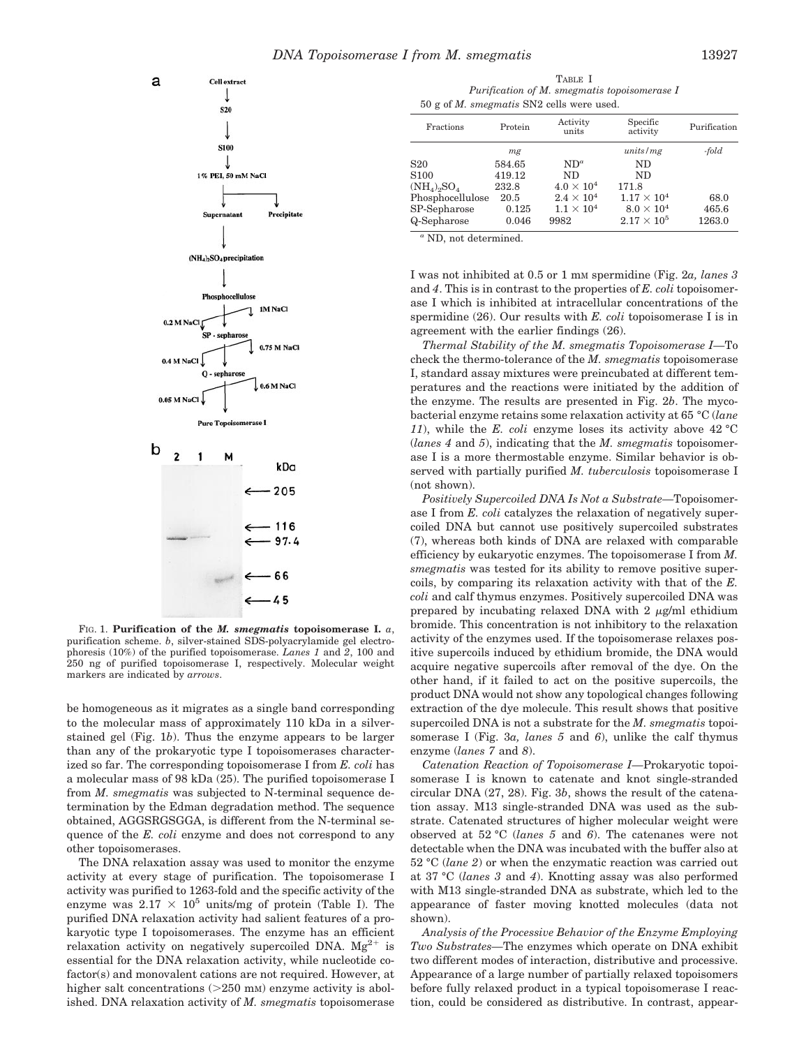

FIG. 1. **Purification of the** *M. smegmatis* **topoisomerase I.** *a*, purification scheme. *b*, silver-stained SDS-polyacrylamide gel electrophoresis (10%) of the purified topoisomerase. *Lanes 1* and *2*, 100 and 250 ng of purified topoisomerase I, respectively. Molecular weight markers are indicated by *arrows*.

be homogeneous as it migrates as a single band corresponding to the molecular mass of approximately 110 kDa in a silverstained gel (Fig. 1*b*). Thus the enzyme appears to be larger than any of the prokaryotic type I topoisomerases characterized so far. The corresponding topoisomerase I from *E. coli* has a molecular mass of 98 kDa (25). The purified topoisomerase I from *M. smegmatis* was subjected to N-terminal sequence determination by the Edman degradation method. The sequence obtained, AGGSRGSGGA, is different from the N-terminal sequence of the *E. coli* enzyme and does not correspond to any other topoisomerases.

The DNA relaxation assay was used to monitor the enzyme activity at every stage of purification. The topoisomerase I activity was purified to 1263-fold and the specific activity of the enzyme was  $2.17 \times 10^5$  units/mg of protein (Table I). The purified DNA relaxation activity had salient features of a prokaryotic type I topoisomerases. The enzyme has an efficient relaxation activity on negatively supercoiled DNA.  $Mg^{2+}$  is essential for the DNA relaxation activity, while nucleotide cofactor(s) and monovalent cations are not required. However, at higher salt concentrations  $(>=250 \text{ mm})$  enzyme activity is abolished. DNA relaxation activity of *M. smegmatis* topoisomerase

TABLE I *Purification of M. smegmatis topoisomerase I* 50 g of *M. smegmatis* SN2 cells were used.

| Fractions                             | Protein | Activity<br>units   | Specific<br>activity | Purification |
|---------------------------------------|---------|---------------------|----------------------|--------------|
|                                       | mg      |                     | units/mg             | -fold        |
| S <sub>20</sub>                       | 584.65  | $ND^a$              | ND                   |              |
| S <sub>100</sub>                      | 419.12  | ND.                 | ND.                  |              |
| $(NH_4)$ <sub>2</sub> SO <sub>4</sub> | 232.8   | $4.0 \times 10^{4}$ | 171.8                |              |
| Phosphocellulose                      | 20.5    | $2.4 \times 10^{4}$ | $1.17 \times 10^{4}$ | 68.0         |
| SP-Sepharose                          | 0.125   | $1.1 \times 10^{4}$ | $8.0 \times 10^4$    | 465.6        |
| Q-Sepharose                           | 0.046   | 9982                | $2.17\times10^5$     | 1263.0       |

*<sup>a</sup>* ND, not determined.

I was not inhibited at 0.5 or 1 mM spermidine (Fig. 2*a, lanes 3* and *4*. This is in contrast to the properties of *E. coli* topoisomerase I which is inhibited at intracellular concentrations of the spermidine (26). Our results with *E. coli* topoisomerase I is in agreement with the earlier findings (26).

*Thermal Stability of the M. smegmatis Topoisomerase I—*To check the thermo-tolerance of the *M. smegmatis* topoisomerase I, standard assay mixtures were preincubated at different temperatures and the reactions were initiated by the addition of the enzyme. The results are presented in Fig. 2*b*. The mycobacterial enzyme retains some relaxation activity at 65 °C (*lane 11*), while the *E. coli* enzyme loses its activity above 42 °C (*lanes 4* and *5*), indicating that the *M. smegmatis* topoisomerase I is a more thermostable enzyme. Similar behavior is observed with partially purified *M. tuberculosis* topoisomerase I (not shown).

*Positively Supercoiled DNA Is Not a Substrate—*Topoisomerase I from *E. coli* catalyzes the relaxation of negatively supercoiled DNA but cannot use positively supercoiled substrates (7), whereas both kinds of DNA are relaxed with comparable efficiency by eukaryotic enzymes. The topoisomerase I from *M. smegmatis* was tested for its ability to remove positive supercoils, by comparing its relaxation activity with that of the *E. coli* and calf thymus enzymes. Positively supercoiled DNA was prepared by incubating relaxed DNA with  $2 \mu g/ml$  ethidium bromide. This concentration is not inhibitory to the relaxation activity of the enzymes used. If the topoisomerase relaxes positive supercoils induced by ethidium bromide, the DNA would acquire negative supercoils after removal of the dye. On the other hand, if it failed to act on the positive supercoils, the product DNA would not show any topological changes following extraction of the dye molecule. This result shows that positive supercoiled DNA is not a substrate for the *M. smegmatis* topoisomerase I (Fig. 3*a, lanes 5* and *6*), unlike the calf thymus enzyme (*lanes 7* and *8*).

*Catenation Reaction of Topoisomerase I—*Prokaryotic topoisomerase I is known to catenate and knot single-stranded circular DNA (27, 28). Fig. 3*b*, shows the result of the catenation assay. M13 single-stranded DNA was used as the substrate. Catenated structures of higher molecular weight were observed at 52 °C (*lanes 5* and *6*). The catenanes were not detectable when the DNA was incubated with the buffer also at 52 °C (*lane 2*) or when the enzymatic reaction was carried out at 37 °C (*lanes 3* and *4*). Knotting assay was also performed with M13 single-stranded DNA as substrate, which led to the appearance of faster moving knotted molecules (data not shown).

*Analysis of the Processive Behavior of the Enzyme Employing Two Substrates—*The enzymes which operate on DNA exhibit two different modes of interaction, distributive and processive. Appearance of a large number of partially relaxed topoisomers before fully relaxed product in a typical topoisomerase I reaction, could be considered as distributive. In contrast, appear-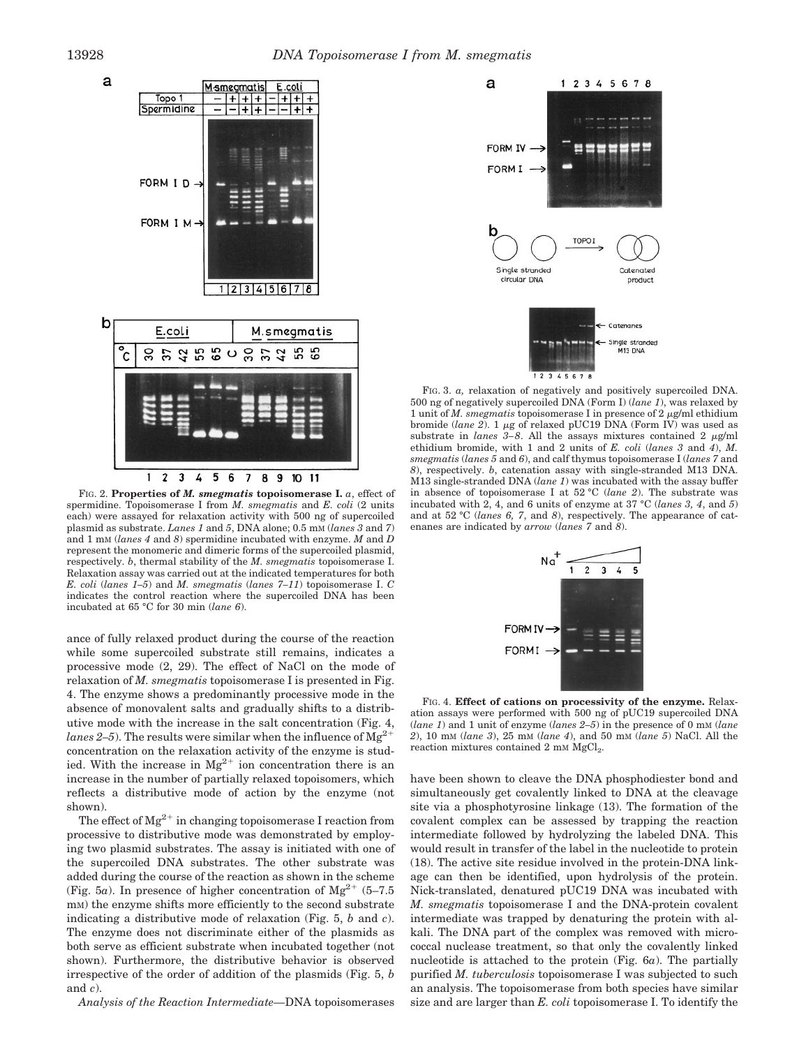

FIG. 2. **Properties of** *M. smegmatis* **topoisomerase I.** *a*, effect of spermidine. Topoisomerase I from *M. smegmatis* and *E. coli* (2 units each) were assayed for relaxation activity with 500 ng of supercoiled plasmid as substrate. *Lanes 1* and *5*, DNA alone; 0.5 mM (*lanes 3* and *7*) and 1 mM (*lanes 4* and *8*) spermidine incubated with enzyme. *M* and *D* represent the monomeric and dimeric forms of the supercoiled plasmid, respectively. *b*, thermal stability of the *M. smegmatis* topoisomerase I. Relaxation assay was carried out at the indicated temperatures for both *E. coli* (*lanes 1–5*) and *M. smegmatis* (*lanes 7–11*) topoisomerase I. *C* indicates the control reaction where the supercoiled DNA has been incubated at 65 °C for 30 min (*lane 6*).

ance of fully relaxed product during the course of the reaction while some supercoiled substrate still remains, indicates a processive mode (2, 29). The effect of NaCl on the mode of relaxation of *M. smegmatis* topoisomerase I is presented in Fig. 4. The enzyme shows a predominantly processive mode in the absence of monovalent salts and gradually shifts to a distributive mode with the increase in the salt concentration (Fig. 4, *lanes 2–5*). The results were similar when the influence of  $Mg^{2+}$ concentration on the relaxation activity of the enzyme is studied. With the increase in  $Mg^{2+}$  ion concentration there is an increase in the number of partially relaxed topoisomers, which reflects a distributive mode of action by the enzyme (not shown).

The effect of  $Mg^{2+}$  in changing topoisomerase I reaction from processive to distributive mode was demonstrated by employing two plasmid substrates. The assay is initiated with one of the supercoiled DNA substrates. The other substrate was added during the course of the reaction as shown in the scheme (Fig. 5*a*). In presence of higher concentration of  $Mg^{2+}$  (5–7.5) m<sub>M</sub>) the enzyme shifts more efficiently to the second substrate indicating a distributive mode of relaxation (Fig. 5, *b* and *c*). The enzyme does not discriminate either of the plasmids as both serve as efficient substrate when incubated together (not shown). Furthermore, the distributive behavior is observed irrespective of the order of addition of the plasmids (Fig. 5, *b* and *c*).

*Analysis of the Reaction Intermediate—*DNA topoisomerases



FIG. 3. *a,* relaxation of negatively and positively supercoiled DNA. 500 ng of negatively supercoiled DNA (Form I) (*lane 1*), was relaxed by 1 unit of  $M$ . smegmatis topoisomerase I in presence of 2  $\mu$ g/ml ethidium bromide (*lane 2*). 1  $\mu$ g of relaxed pUC19 DNA (Form IV) was used as substrate in *lanes*  $3-8$ . All the assays mixtures contained 2  $\mu$ g/ml ethidium bromide, with 1 and 2 units of *E. coli* (*lanes 3* and *4*), *M. smegmatis* (*lanes 5* and *6*), and calf thymus topoisomerase I (*lanes 7* and *8*), respectively. *b*, catenation assay with single-stranded M13 DNA. M13 single-stranded DNA (*lane 1*) was incubated with the assay buffer in absence of topoisomerase I at 52 °C (*lane 2*). The substrate was incubated with 2, 4, and 6 units of enzyme at 37 °C (*lanes 3, 4*, and *5*) and at 52 °C (*lanes 6, 7*, and *8*), respectively. The appearance of catenanes are indicated by *arrow* (*lanes 7* and *8*).



FIG. 4. **Effect of cations on processivity of the enzyme.** Relaxation assays were performed with 500 ng of pUC19 supercoiled DNA (*lane 1*) and 1 unit of enzyme (*lanes 2–5*) in the presence of 0 mM (*lane 2*), 10 mM (*lane 3*), 25 mM (*lane 4*), and 50 mM (*lane 5*) NaCl. All the reaction mixtures contained  $2 \text{ mm } \text{MgCl}_2$ .

have been shown to cleave the DNA phosphodiester bond and simultaneously get covalently linked to DNA at the cleavage site via a phosphotyrosine linkage (13). The formation of the covalent complex can be assessed by trapping the reaction intermediate followed by hydrolyzing the labeled DNA. This would result in transfer of the label in the nucleotide to protein (18). The active site residue involved in the protein-DNA linkage can then be identified, upon hydrolysis of the protein. Nick-translated, denatured pUC19 DNA was incubated with *M. smegmatis* topoisomerase I and the DNA-protein covalent intermediate was trapped by denaturing the protein with alkali. The DNA part of the complex was removed with micrococcal nuclease treatment, so that only the covalently linked nucleotide is attached to the protein (Fig. 6*a*). The partially purified *M. tuberculosis* topoisomerase I was subjected to such an analysis. The topoisomerase from both species have similar size and are larger than *E. coli* topoisomerase I. To identify the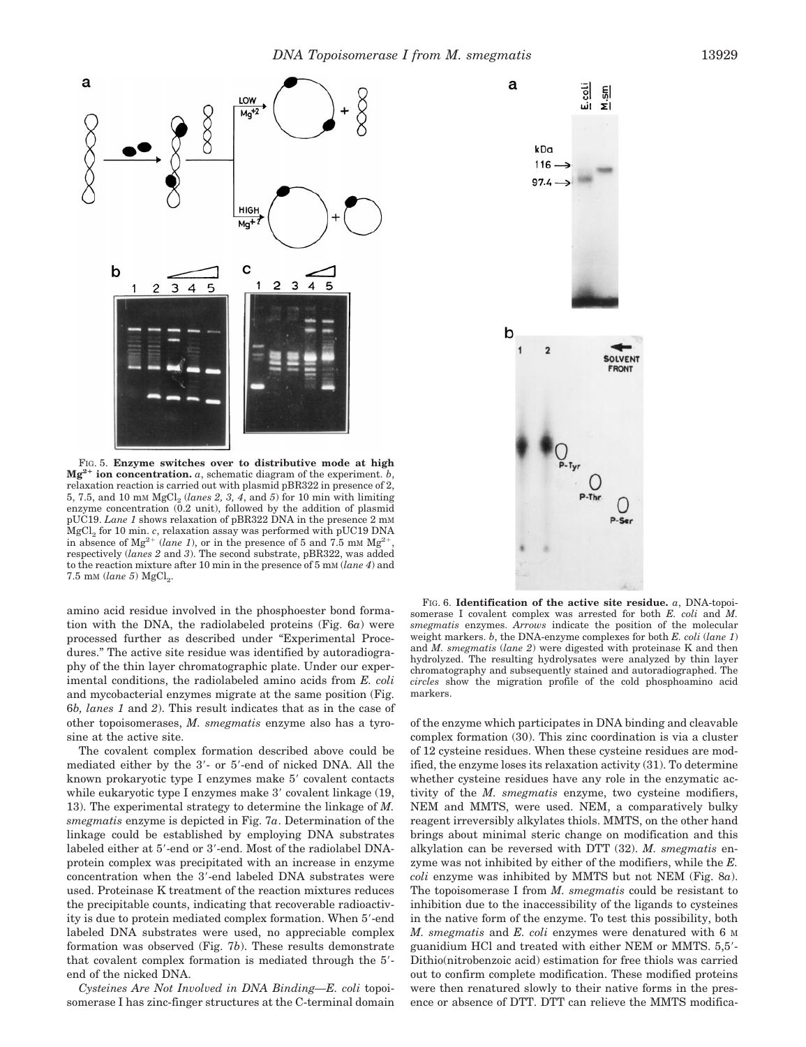

FIG. 5. **Enzyme switches over to distributive mode at high**  $Mg^{2+}$  **ion concentration.** *a*, schematic diagram of the experiment. *b*, relaxation reaction is carried out with plasmid pBR322 in presence of 2, 5, 7.5, and 10 mm  $MgCl<sub>2</sub>$  (*lanes 2, 3, 4*, and 5) for 10 min with limiting enzyme concentration (0.2 unit), followed by the addition of plasmid pUC19. *Lane 1* shows relaxation of pBR322 DNA in the presence 2 mM MgCl<sub>2</sub> for 10 min. *c*, relaxation assay was performed with pUC19 DNA in absence of  $Mg^{2+}$  (*lane 1*), or in the presence of 5 and 7.5 mm  $Mg^{2}$ respectively (*lanes 2* and *3*). The second substrate, pBR322, was added to the reaction mixture after 10 min in the presence of 5 mM (*lane 4*) and  $7.5$  m<sub>M</sub> (*lane 5*) MgCl<sub>2</sub>.

amino acid residue involved in the phosphoester bond formation with the DNA, the radiolabeled proteins (Fig. 6*a*) were processed further as described under "Experimental Procedures." The active site residue was identified by autoradiography of the thin layer chromatographic plate. Under our experimental conditions, the radiolabeled amino acids from *E. coli* and mycobacterial enzymes migrate at the same position (Fig. 6*b, lanes 1* and *2*). This result indicates that as in the case of other topoisomerases, *M. smegmatis* enzyme also has a tyrosine at the active site.

The covalent complex formation described above could be mediated either by the 3'- or 5'-end of nicked DNA. All the known prokaryotic type I enzymes make  $5'$  covalent contacts while eukaryotic type I enzymes make  $3'$  covalent linkage  $(19, 19)$ 13). The experimental strategy to determine the linkage of *M. smegmatis* enzyme is depicted in Fig. 7*a*. Determination of the linkage could be established by employing DNA substrates labeled either at 5'-end or 3'-end. Most of the radiolabel DNAprotein complex was precipitated with an increase in enzyme concentration when the 3'-end labeled DNA substrates were used. Proteinase K treatment of the reaction mixtures reduces the precipitable counts, indicating that recoverable radioactivity is due to protein mediated complex formation. When 5'-end labeled DNA substrates were used, no appreciable complex formation was observed (Fig. 7*b*). These results demonstrate that covalent complex formation is mediated through the 5'end of the nicked DNA.

*Cysteines Are Not Involved in DNA Binding—E. coli* topoisomerase I has zinc-finger structures at the C-terminal domain



FIG. 6. **Identification of the active site residue.** *a*, DNA-topoisomerase I covalent complex was arrested for both *E. coli* and *M. smegmatis* enzymes. *Arrows* indicate the position of the molecular weight markers. *b*, the DNA-enzyme complexes for both *E. coli* (*lane 1*) and *M. smegmatis* (*lane 2*) were digested with proteinase K and then hydrolyzed. The resulting hydrolysates were analyzed by thin layer chromatography and subsequently stained and autoradiographed. The *circles* show the migration profile of the cold phosphoamino acid markers.

of the enzyme which participates in DNA binding and cleavable complex formation (30). This zinc coordination is via a cluster of 12 cysteine residues. When these cysteine residues are modified, the enzyme loses its relaxation activity (31). To determine whether cysteine residues have any role in the enzymatic activity of the *M. smegmatis* enzyme, two cysteine modifiers, NEM and MMTS, were used. NEM, a comparatively bulky reagent irreversibly alkylates thiols. MMTS, on the other hand brings about minimal steric change on modification and this alkylation can be reversed with DTT (32). *M. smegmatis* enzyme was not inhibited by either of the modifiers, while the *E. coli* enzyme was inhibited by MMTS but not NEM (Fig. 8*a*). The topoisomerase I from *M. smegmatis* could be resistant to inhibition due to the inaccessibility of the ligands to cysteines in the native form of the enzyme. To test this possibility, both *M. smegmatis* and *E. coli* enzymes were denatured with 6 M guanidium HCl and treated with either NEM or MMTS, 5.5'-Dithio(nitrobenzoic acid) estimation for free thiols was carried out to confirm complete modification. These modified proteins were then renatured slowly to their native forms in the presence or absence of DTT. DTT can relieve the MMTS modifica-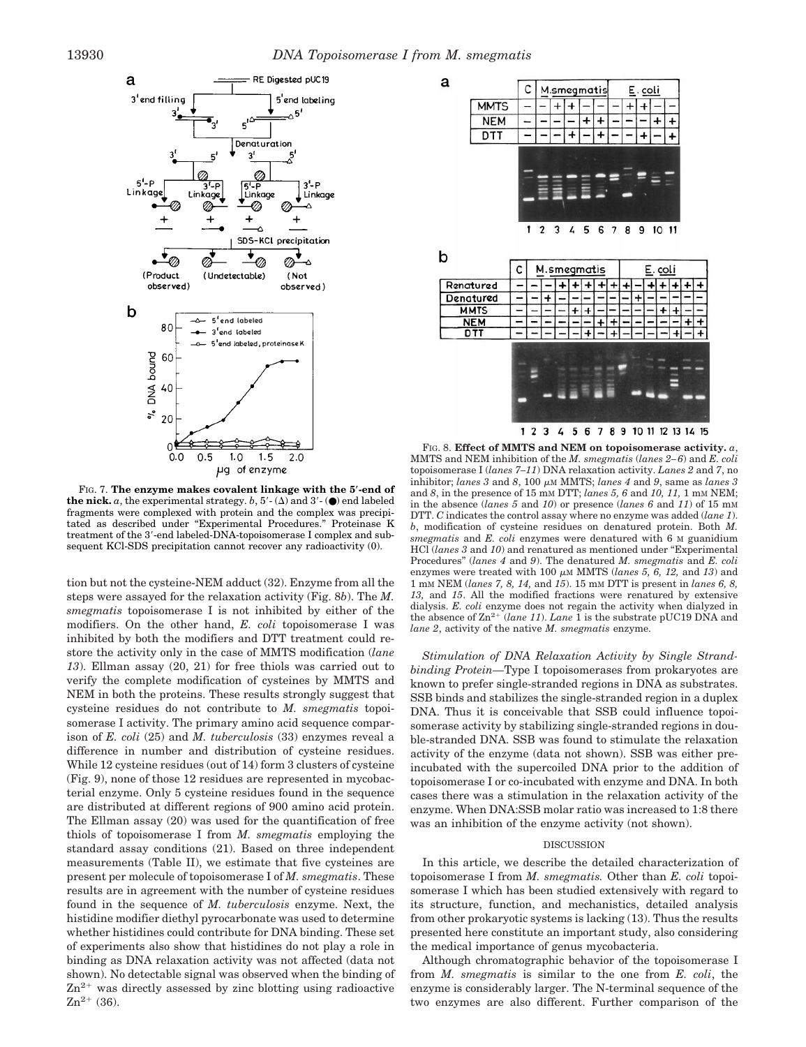

FIG. 7. **The enzyme makes covalent linkage with the 5**\***-end of the nick.** *a*, the experimental strategy. *b*,  $5'$ - $(\Delta)$  and  $3'$ - $(\bullet)$  end labeled fragments were complexed with protein and the complex was precipitated as described under "Experimental Procedures." Proteinase K treatment of the 3'-end labeled-DNA-topoisomerase I complex and subsequent KCl-SDS precipitation cannot recover any radioactivity (0).

tion but not the cysteine-NEM adduct (32). Enzyme from all the steps were assayed for the relaxation activity (Fig. 8*b*). The *M. smegmatis* topoisomerase I is not inhibited by either of the modifiers. On the other hand, *E. coli* topoisomerase I was inhibited by both the modifiers and DTT treatment could restore the activity only in the case of MMTS modification (*lane 13*). Ellman assay (20, 21) for free thiols was carried out to verify the complete modification of cysteines by MMTS and NEM in both the proteins. These results strongly suggest that cysteine residues do not contribute to *M. smegmatis* topoisomerase I activity. The primary amino acid sequence comparison of *E. coli* (25) and *M. tuberculosis* (33) enzymes reveal a difference in number and distribution of cysteine residues. While 12 cysteine residues (out of 14) form 3 clusters of cysteine (Fig. 9), none of those 12 residues are represented in mycobacterial enzyme. Only 5 cysteine residues found in the sequence are distributed at different regions of 900 amino acid protein. The Ellman assay (20) was used for the quantification of free thiols of topoisomerase I from *M. smegmatis* employing the standard assay conditions (21). Based on three independent measurements (Table II), we estimate that five cysteines are present per molecule of topoisomerase I of *M. smegmatis*. These results are in agreement with the number of cysteine residues found in the sequence of *M. tuberculosis* enzyme. Next, the histidine modifier diethyl pyrocarbonate was used to determine whether histidines could contribute for DNA binding. These set of experiments also show that histidines do not play a role in binding as DNA relaxation activity was not affected (data not shown). No detectable signal was observed when the binding of  $\text{Zn}^{2+}$  was directly assessed by zinc blotting using radioactive  $Zn^{2+}$  (36).



FIG. 8. **Effect of MMTS and NEM on topoisomerase activity.** *a*, MMTS and NEM inhibition of the *M. smegmatis* (*lanes 2–6*) and *E. coli* topoisomerase I (*lanes 7–11*) DNA relaxation activity. *Lanes 2* and *7*, no inhibitor; *lanes*  $3$  and  $8$ ,  $100 \mu M$  MMTS; *lanes*  $4$  and  $9$ , same as *lanes*  $3$ and *8*, in the presence of 15 mm DTT; *lanes 5, 6* and 10, 11, 1 mm NEM; in the absence (*lanes 5* and *10*) or presence (*lanes 6* and *11*) of 15 mM DTT. *C* indicates the control assay where no enzyme was added (*lane 1*). *b*, modification of cysteine residues on denatured protein. Both *M. smegmatis* and *E. coli* enzymes were denatured with 6 M guanidium HCl (*lanes 3* and *10*) and renatured as mentioned under "Experimental Procedures" (*lanes 4* and *9*). The denatured *M. smegmatis* and *E. coli* enzymes were treated with 100  $\mu$ M MMTS (*lanes 5, 6, 12, and 13*) and 1 mM NEM (*lanes 7, 8, 14,* and *15*). 15 mM DTT is present in *lanes 6, 8, 13,* and *15*. All the modified fractions were renatured by extensive dialysis. *E. coli* enzyme does not regain the activity when dialyzed in the absence of  $\text{Zn}^{2+}$  (*lane 11*). *Lane* 1 is the substrate pUC19 DNA and *lane 2*, activity of the native *M. smegmatis* enzyme.

*Stimulation of DNA Relaxation Activity by Single Strandbinding Protein—*Type I topoisomerases from prokaryotes are known to prefer single-stranded regions in DNA as substrates. SSB binds and stabilizes the single-stranded region in a duplex DNA. Thus it is conceivable that SSB could influence topoisomerase activity by stabilizing single-stranded regions in double-stranded DNA. SSB was found to stimulate the relaxation activity of the enzyme (data not shown). SSB was either preincubated with the supercoiled DNA prior to the addition of topoisomerase I or co-incubated with enzyme and DNA. In both cases there was a stimulation in the relaxation activity of the enzyme. When DNA:SSB molar ratio was increased to 1:8 there was an inhibition of the enzyme activity (not shown).

## DISCUSSION

In this article, we describe the detailed characterization of topoisomerase I from *M. smegmatis.* Other than *E. coli* topoisomerase I which has been studied extensively with regard to its structure, function, and mechanistics, detailed analysis from other prokaryotic systems is lacking (13). Thus the results presented here constitute an important study, also considering the medical importance of genus mycobacteria.

Although chromatographic behavior of the topoisomerase I from *M. smegmatis* is similar to the one from *E. coli*, the enzyme is considerably larger. The N-terminal sequence of the two enzymes are also different. Further comparison of the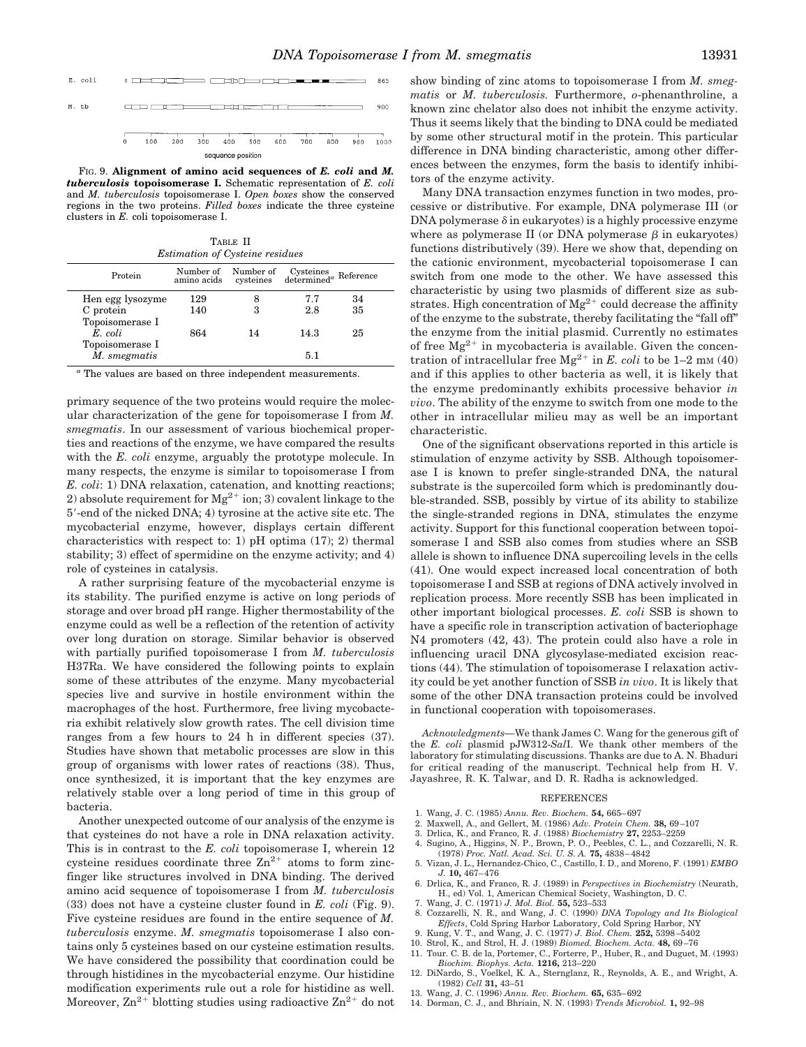

FIG. 9. **Alignment of amino acid sequences of** *E. coli* **and** *M. tuberculosis* **topoisomerase I.** Schematic representation of *E. coli* and *M. tuberculosis* topoisomerase I. *Open boxes* show the conserved regions in the two proteins. *Filled boxes* indicate the three cysteine clusters in *E.* coli topoisomerase I.

TABLE II *Estimation of Cysteine residues*

| Protein                         | Number of<br>amino acids | Number of<br>cysteines | Cysteines<br>determined <sup>a</sup> Reference |    |
|---------------------------------|--------------------------|------------------------|------------------------------------------------|----|
| Hen egg lysozyme                | 129                      | 8                      | 7.7                                            | 34 |
| C protein                       | 140                      | 3                      | 2.8                                            | 35 |
| Topoisomerase I                 |                          |                        |                                                |    |
| E. coli                         | 864                      | 14                     | 14.3                                           | 25 |
| Topoisomerase I<br>M. smegmatis |                          |                        | 5.1                                            |    |

*<sup>a</sup>* The values are based on three independent measurements.

primary sequence of the two proteins would require the molecular characterization of the gene for topoisomerase I from *M. smegmatis*. In our assessment of various biochemical properties and reactions of the enzyme, we have compared the results with the *E. coli* enzyme, arguably the prototype molecule. In many respects, the enzyme is similar to topoisomerase I from *E. coli*: 1) DNA relaxation, catenation, and knotting reactions; 2) absolute requirement for  $Mg^{2+}$  ion; 3) covalent linkage to the 5'-end of the nicked DNA; 4) tyrosine at the active site etc. The mycobacterial enzyme, however, displays certain different characteristics with respect to: 1)  $pH$  optima (17); 2) thermal stability; 3) effect of spermidine on the enzyme activity; and 4) role of cysteines in catalysis.

A rather surprising feature of the mycobacterial enzyme is its stability. The purified enzyme is active on long periods of storage and over broad pH range. Higher thermostability of the enzyme could as well be a reflection of the retention of activity over long duration on storage. Similar behavior is observed with partially purified topoisomerase I from *M. tuberculosis* H37Ra. We have considered the following points to explain some of these attributes of the enzyme. Many mycobacterial species live and survive in hostile environment within the macrophages of the host. Furthermore, free living mycobacteria exhibit relatively slow growth rates. The cell division time ranges from a few hours to 24 h in different species (37). Studies have shown that metabolic processes are slow in this group of organisms with lower rates of reactions (38). Thus, once synthesized, it is important that the key enzymes are relatively stable over a long period of time in this group of bacteria.

Another unexpected outcome of our analysis of the enzyme is that cysteines do not have a role in DNA relaxation activity. This is in contrast to the *E. coli* topoisomerase I, wherein 12 cysteine residues coordinate three  $\text{Zn}^{2+}$  atoms to form zincfinger like structures involved in DNA binding. The derived amino acid sequence of topoisomerase I from *M. tuberculosis* (33) does not have a cysteine cluster found in *E. coli* (Fig. 9). Five cysteine residues are found in the entire sequence of *M. tuberculosis* enzyme. *M. smegmatis* topoisomerase I also contains only 5 cysteines based on our cysteine estimation results. We have considered the possibility that coordination could be through histidines in the mycobacterial enzyme. Our histidine modification experiments rule out a role for histidine as well. Moreover,  $\text{Zn}^{2+}$  blotting studies using radioactive  $\text{Zn}^{2+}$  do not

Many DNA transaction enzymes function in two modes, processive or distributive. For example, DNA polymerase III (or  $DNA$  polymerase  $\delta$  in eukaryotes) is a highly processive enzyme where as polymerase II (or DNA polymerase  $\beta$  in eukaryotes) functions distributively (39). Here we show that, depending on the cationic environment, mycobacterial topoisomerase I can switch from one mode to the other. We have assessed this characteristic by using two plasmids of different size as substrates. High concentration of  $Mg^{2+}$  could decrease the affinity of the enzyme to the substrate, thereby facilitating the "fall off" the enzyme from the initial plasmid. Currently no estimates of free  $Mg^{2+}$  in mycobacteria is available. Given the concentration of intracellular free  $Mg^{2+}$  in *E. coli* to be 1-2 mm (40) and if this applies to other bacteria as well, it is likely that the enzyme predominantly exhibits processive behavior *in vivo*. The ability of the enzyme to switch from one mode to the other in intracellular milieu may as well be an important characteristic.

One of the significant observations reported in this article is stimulation of enzyme activity by SSB. Although topoisomerase I is known to prefer single-stranded DNA, the natural substrate is the supercoiled form which is predominantly double-stranded. SSB, possibly by virtue of its ability to stabilize the single-stranded regions in DNA, stimulates the enzyme activity. Support for this functional cooperation between topoisomerase I and SSB also comes from studies where an SSB allele is shown to influence DNA supercoiling levels in the cells (41). One would expect increased local concentration of both topoisomerase I and SSB at regions of DNA actively involved in replication process. More recently SSB has been implicated in other important biological processes. *E. coli* SSB is shown to have a specific role in transcription activation of bacteriophage N4 promoters (42, 43). The protein could also have a role in influencing uracil DNA glycosylase-mediated excision reactions (44). The stimulation of topoisomerase I relaxation activity could be yet another function of SSB *in vivo*. It is likely that some of the other DNA transaction proteins could be involved in functional cooperation with topoisomerases.

*Acknowledgments—*We thank James C. Wang for the generous gift of the *E. coli* plasmid pJW312-*Sal*I. We thank other members of the laboratory for stimulating discussions. Thanks are due to A. N. Bhaduri for critical reading of the manuscript. Technical help from H. V. Jayashree, R. K. Talwar, and D. R. Radha is acknowledged.

#### REFERENCES

- 1. Wang, J. C. (1985) *Annu. Rev. Biochem.* **54,** 665–697
- 2. Maxwell, A., and Gellert, M. (1986) *Adv. Protein Chem.* **38,** 69–107
- 3. Drlica, K., and Franco, R. J. (1988) *Biochemistry* **27,** 2253–2259
- 4. Sugino, A., Higgins, N. P., Brown, P. O., Peebles, C. L., and Cozzarelli, N. R. (1978) *Proc. Natl. Acad. Sci. U. S. A.* **75,** 4838–4842
- 5. Vizan, J. L., Hernandez-Chico, C., Castillo, I. D., and Moreno, F. (1991) *EMBO J.* **10,** 467–476
- 6. Drlica, K., and Franco, R. J. (1989) in *Perspectives in Biochemistry* (Neurath, H., ed) Vol. 1, American Chemical Society, Washington, D. C.
- 7. Wang, J. C. (1971) *J. Mol. Biol.* **55,** 523–533
- 8. Cozzarelli, N. R., and Wang, J. C. (1990) *DNA Topology and Its Biological Effects*, Cold Spring Harbor Laboratory, Cold Spring Harbor, NY 9. Kung, V. T., and Wang, J. C. (1977) *J. Biol. Chem.* **252,** 5398–5402
- 10. Strol, K., and Strol, H. J. (1989) *Biomed. Biochem. Acta.* **48,** 69–76
- 11. Tour. C. B. de la, Portemer, C., Forterre, P., Huber, R., and Duguet, M. (1993)
- *Biochim. Biophys. Acta.* **1216,** 213–220 12. DiNardo, S., Voelkel, K. A., Sternglanz, R., Reynolds, A. E., and Wright, A.
- (1982) *Cell* **31,** 43–51
- 13. Wang, J. C. (1996) *Annu. Rev. Biochem.* **65,** 635–692
- 14. Dorman, C. J., and Bhriain, N. N. (1993) *Trends Microbiol.* **1,** 92–98